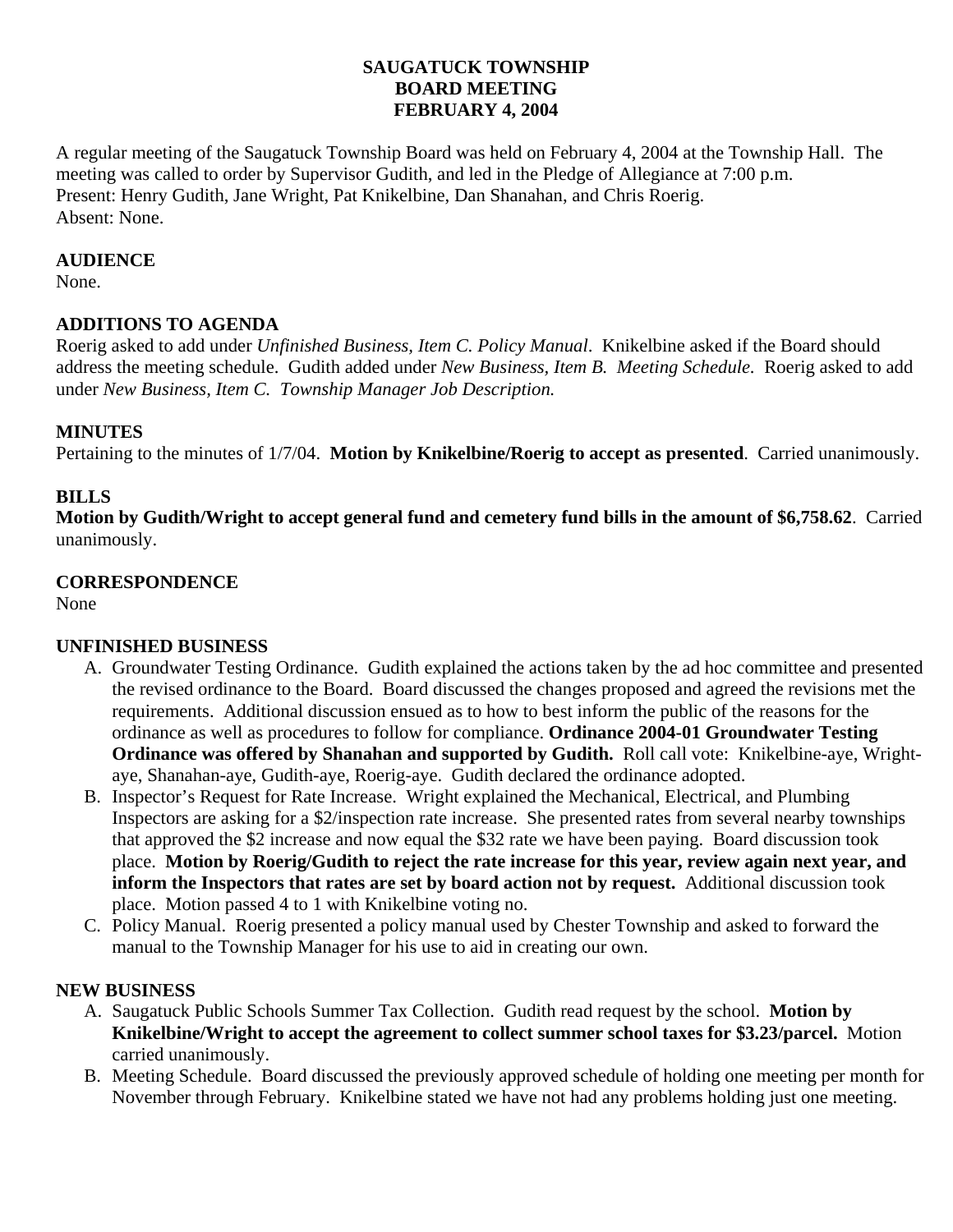## **SAUGATUCK TOWNSHIP BOARD MEETING FEBRUARY 4, 2004**

A regular meeting of the Saugatuck Township Board was held on February 4, 2004 at the Township Hall. The meeting was called to order by Supervisor Gudith, and led in the Pledge of Allegiance at 7:00 p.m. Present: Henry Gudith, Jane Wright, Pat Knikelbine, Dan Shanahan, and Chris Roerig. Absent: None.

### **AUDIENCE**

None.

## **ADDITIONS TO AGENDA**

Roerig asked to add under *Unfinished Business, Item C. Policy Manual*. Knikelbine asked if the Board should address the meeting schedule. Gudith added under *New Business, Item B. Meeting Schedule.* Roerig asked to add under *New Business, Item C. Township Manager Job Description.*

### **MINUTES**

Pertaining to the minutes of 1/7/04. **Motion by Knikelbine/Roerig to accept as presented**. Carried unanimously.

### **BILLS**

**Motion by Gudith/Wright to accept general fund and cemetery fund bills in the amount of \$6,758.62**. Carried unanimously.

### **CORRESPONDENCE**

None

## **UNFINISHED BUSINESS**

- A. Groundwater Testing Ordinance. Gudith explained the actions taken by the ad hoc committee and presented the revised ordinance to the Board. Board discussed the changes proposed and agreed the revisions met the requirements. Additional discussion ensued as to how to best inform the public of the reasons for the ordinance as well as procedures to follow for compliance. **Ordinance 2004-01 Groundwater Testing Ordinance was offered by Shanahan and supported by Gudith.** Roll call vote: Knikelbine-aye, Wrightaye, Shanahan-aye, Gudith-aye, Roerig-aye. Gudith declared the ordinance adopted.
- B. Inspector's Request for Rate Increase. Wright explained the Mechanical, Electrical, and Plumbing Inspectors are asking for a \$2/inspection rate increase. She presented rates from several nearby townships that approved the \$2 increase and now equal the \$32 rate we have been paying. Board discussion took place. **Motion by Roerig/Gudith to reject the rate increase for this year, review again next year, and inform the Inspectors that rates are set by board action not by request.** Additional discussion took place. Motion passed 4 to 1 with Knikelbine voting no.
- C. Policy Manual. Roerig presented a policy manual used by Chester Township and asked to forward the manual to the Township Manager for his use to aid in creating our own.

#### **NEW BUSINESS**

- A. Saugatuck Public Schools Summer Tax Collection. Gudith read request by the school. **Motion by Knikelbine/Wright to accept the agreement to collect summer school taxes for \$3.23/parcel.** Motion carried unanimously.
- B. Meeting Schedule. Board discussed the previously approved schedule of holding one meeting per month for November through February. Knikelbine stated we have not had any problems holding just one meeting.